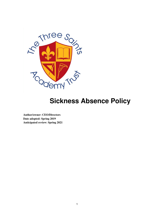

# **Sickness Absence Policy**

**Author/owner: CEO/Directors Date adopted: Spring 2019 Anticipated review: Spring 2021**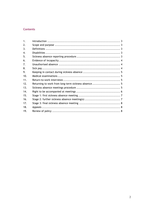# **Contents**

| 1 <sub>1</sub> |                                                     |  |
|----------------|-----------------------------------------------------|--|
| 2.             |                                                     |  |
| 3.             |                                                     |  |
| 4.             |                                                     |  |
| 5.             |                                                     |  |
| 6.             |                                                     |  |
| 7.             |                                                     |  |
| 8.             |                                                     |  |
| 9.             |                                                     |  |
| 10.            |                                                     |  |
| 11.            |                                                     |  |
| 12.            | Returning to work from long-term sickness absence 5 |  |
| 13.            |                                                     |  |
| 14.            |                                                     |  |
| 15.            |                                                     |  |
| 16.            |                                                     |  |
| 17.            |                                                     |  |
| 18.            |                                                     |  |
| 19.            |                                                     |  |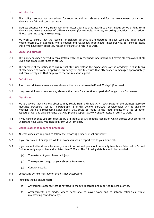# 1. Introduction

- 1.1 This policy sets out our procedures for reporting sickness absence and for the management of sickness absence in a fair and consistent way.
- 1.2 Sickness absence can vary from short intermittent periods of ill-health to a continuous period of long-term absence and have a number of different causes (for example, injuries, recurring conditions, or a serious illness requiring lengthy treatment).
- 1.3 We wish to ensure that the reasons for sickness absence are understood in each case and investigated where necessary. In addition, where needed and reasonably practicable, measures will be taken to assist those who have been absent by reason of sickness to return to work.

# 2. Scope and purpose

- 2.1 This policy has been agreed in consultation with the recognised trade unions and covers all employees at all levels and grades regardless of status.
- 2.2 The purpose of the policy is to ensure that staff understand the expectations of the Academy Trust in terms of attendance at work. In applying this policy we aim to ensure that attendance is managed appropriately and consistently and that employees receive relevant support.

# 3. Definitions

- 3.1 Short-term sickness absence any absence that lasts between half and 20 days' (four weeks).
- 3.2 Long term sickness absence any absence that lasts for a continuous period of longer than four weeks.

# 4. Disabilities

- 4.1 We are aware that sickness absence may result from a disability. At each stage of the sickness absence meetings procedure (set out in paragraph 15 of this policy), particular consideration will be given to whether there are reasonable adjustments that could be made to the requirements of a job or other aspects of working arrangements that will provide support at work and/or assist a return to work.
- 4.2 If you consider that you are affected by a disability or any medical condition which affects your ability to undertake your work, you should inform your Principal.

# 5. Sickness absence reporting procedure

- 5.1 All employees are required to follow the reporting procedure set out below.
- 5.2 If you are taken ill or injured while at work you should report this to your Principal.
- 5.3 If you cannot attend work because you are ill or injured you should normally telephone Principal or School Office as early as possible and no later than 7.30am. The following details should be provided:
	- (a) The nature of your illness or injury.
	- (b) The expected length of your absence from work.
	- (c) Contact details.
- 5.4 Contacting by text message or email is not acceptable.
- 5.5 Principal should ensure that:
	- (a) Any sickness absence that is notified to them is recorded and reported to school office.
	- (b) Arrangements are made, where necessary, to cover work and to inform colleagues (while maintaining confidentiality).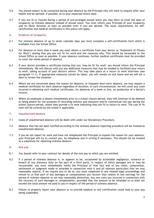- 5.6 You should expect to be contacted during your absence by the Principal who will want to enquire after your health and be advised, if possible, as to your expected return date.
- 5.7 If you are ill or injured during a period of pre-arranged annual leave you may elect to treat the days of incapacity as sickness absence instead of annual leave. You must inform your Principal of your incapacity and its likely duration as soon as possible even if you are abroad. The usual requirements for selfcertification and medical certificates in this policy will apply.

# 6. Evidence of incapacity

- 6.1 For sickness absence of up to seven calendar days you must complete a self-certification form which is available from the School Office.
- 6.2 For absence of more than a week you must obtain a certificate from your doctor (a 'Statement of Fitness for Work') stating that you are not fit for work and the reason(s) why. This should be forwarded to the School Office as soon as possible. If your absence continues, further medical certificates must be provided to cover the whole period of absence.
- 6.3 If your doctor provides a certificate stating that you 'may be fit for work' you should inform the Principal immediately. We will discuss with you any additional measures that may be needed to facilitate your return to work, taking account of your doctor's advice. This may take place at a return to work interview (see paragraph 11.1). If appropriate measures cannot be taken, you will remain on sick leave and we will set a date to review the situation.
- 6.4 Where we are concerned about the reason for absence, or frequent short-term absence, we may require a medical certificate for each absence regardless of duration. In such circumstances, we will cover any costs incurred in obtaining such medical certificates, for absences of a week or less, on production of a doctor's invoice.
- 6.5 Where an employee is absent immediately prior to a school closure period, they will continue to be deemed as being absent for the purposes of recording sickness and statutory and/or contractual sick pay during the school closure period, unless they provide a fit note indicating they are fit to return to work. The cost of fit note will be covered by the school if applicable.

# 7. Unauthorised absence

- 7.1 Cases of unauthorised absence will be dealt with under our Disciplinary Procedure.
- 7.2 Absence that has not been notified according to the sickness absence reporting procedure will be treated as unauthorised absence.
- 7.3 If you do not report for work and have not telephoned the Principal to explain the reason for your absence, your Principal will try to contact you, by telephone and in writing if necessary. This should not be treated as a substitute for reporting sickness absence.

# 8. Sick pay

- 8.1 You should refer to your contract for details of the sick pay to which you are entitled.
- 8.2 If a period of sickness absence is, or appears to be, occasioned by actionable negligence, nuisance or breach of any statutory duty on the part of a third party, in respect of which damages are or may be recoverable, you must immediately notify the Principal of that fact and of any claim, compromise, settlement or judgment made or awarded in connection with it and all relevant particulars that we may reasonably require. If we require you to do so, you must cooperate in any related legal proceedings and refund to us that part of any damages or compensation you recover that relates to lost earnings for the period of sickness absence as we may reasonably determine, less any costs you incurred in connection with the recovery of such damages or compensation, provided that the amount to be refunded to us shall not exceed the total amount we paid to you in respect of the period of sickness absence.
- 8.3 Failure to properly report your absence or to provide medical or self certification could lead to your pay being suspended.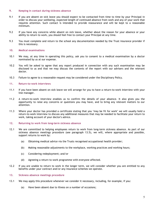# 9. Keeping in contact during sickness absence

- 9.1 If you are absent on sick leave you should expect to be contacted from time to time by your Principal in order to discuss your wellbeing, expected length of continued absence from work and any of your work that requires attention. Such contact is intended to provide reassurance and will be kept to a reasonable minimum.
- 9.2 If you have any concerns while absent on sick leave, whether about the reason for your absence or your ability to return to work, you should feel free to contact your Principal at any time.
- 9.3 You must complete and return to the school any documentation needed by the Trust insurance provider if this is necessary.

# 10. Medical examinations

- 10.1 We may, at any time in operating this policy, ask you to consent to a medical examination by a doctor nominated by us at our expense.
- 10.2 You will be asked to agree that any report produced in connection with any such examination may be disclosed to us and that we may discuss the contents of the report with our advisers and the relevant doctor.
- 10.3 Failure to agree to a reasonable request may be considered under the Disciplinary Policy.

# 11. Return-to-work interviews

- 11.1 If you have been absent on sick leave we will arrange for you to have a return-to-work interview with your line manager.
- 11.2 A return-to-work interview enables us to confirm the details of your absence. It also gives you the opportunity to raise any concerns or questions you may have, and to bring any relevant matters to our attention.
- 11.3 Where your doctor has provided a certificate stating that you 'may be fit for work' we will usually hold a return-to-work interview to discuss any additional measures that may be needed to facilitate your return to work, taking account of your doctor's advice.

# 12. Returning to work from long-term sickness absence

- 12.1 We are committed to helping employees return to work from long-term sickness absence. As part of our sickness absence meetings procedure (see paragraph 13.5), we will, where appropriate and possible, support returns to work by:
	- (a) Obtaining medical advice via the Trusts recognised occupational health provider;
	- (b) Making reasonable adjustments to the workplace, working practices and working hours;
	- (c) Considering redeployment; and/or
	- (d) Agreeing a return to work programme with everyone affected.
- 12.2 If you are unable to return to work in the longer term, we will consider whether you are entitled to any benefits under your contract and/or any insurance schemes we operate.

# 13. Sickness absence meetings procedure

- 13.1 We may apply this procedure whenever we consider it necessary, including, for example, if you:
	- (a) Have been absent due to illness on a number of occasions;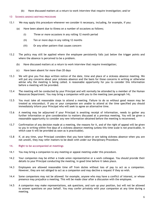(b) Have discussed matters at a return to work interview that require investigation; and/or

#### 13 SICKNESS ABSENCE MEETINGS PROCEDURE

- 13.1 We may apply this procedure whenever we consider it necessary, including, for example, if you:
	- (a) Have been absent due to illness on a number of occasions as follows;
		- (i) Three or more occasions in any rolling 12 month period
		- (ii) Ten or more days in any rolling 12 months
		- (iii) Or any other pattern that causes concern
- 13.2 The policy may still be applied where the employee persistently falls just below the trigger points and where the absence is perceived to be a problem.
	- (b) Have discussed matters at a return to work interview that require investigation;
	- (c) Have been absent for more than 20 days
- 13.3 We will give you five days written notice of the date, time and place of a sickness absence meeting. We will put any concerns about your sickness absence and the basis for those concerns in writing or otherwise advise why the meeting is being called. A reasonable opportunity for you to consider this information before a meeting will be provided.
- 13.4 The meeting will be conducted by your Principal and will normally be attended by a member of the Human Resources Department. You may bring a companion with you to the meeting (see paragraph 14).
- 13.5 You must take all reasonable steps to attend a meeting. Failure to do so without good reason may be treated as misconduct. If you or your companion are unable to attend at the time specified you should immediately inform your Principal who will seek to agree an alternative time.
- 13.6 A meeting may be adjourned if your Principal is awaiting receipt of information, needs to gather any further information or give consideration to matters discussed at a previous meeting. You will be given a reasonable opportunity to consider any new information obtained before the meeting is reconvened.
- 13.7 Confirmation of any decision made at a meeting, the reasons for it, and of the right of appeal will be given to you in writing within five days of a sickness absence meeting (unless this time scale is not practicable, in which case it will be provided as soon as is practicable).
- 13.8 If, at any time, your Principal considers that you have taken or are taking sickness absence when you are not unwell, they may refer matters to be dealt with under our Disciplinary Procedure.

# 14. Right to be accompanied at meetings

- 14.1 You may bring a companion to any meeting or appeal meeting under this procedure.
- 14.2 Your companion may be either a trade union representative or a work colleague. You should provide their details to your Principal conducting the meeting, in good time before it takes place.
- 14.3 Employees are allowed reasonable time off from duties without loss of pay to act as a companion. However, they are not obliged to act as a companion and may decline a request if they so wish.
- 14.4 Some companions may not be allowed: for example, anyone who may have a conflict of interest, or whose presence may prejudice a meeting. This will be made clear after a discussion with the employee.
- 14.5 A companion may make representations, ask questions, and sum up your position, but will not be allowed to answer questions on your behalf. You may confer privately with your companion at any time during a meeting.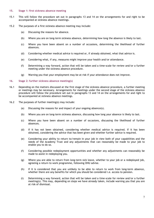#### 15. Stage 1: first sickness absence meeting

- 15.1 This will follow the procedure set out in paragraphs 13 and 14 on the arrangements for and right to be accompanied at sickness absence meetings.
- 15.2 The purposes of a first sickness absence meeting may include:
	- (a) Discussing the reasons for absence.
	- (b) Where you are on long-term sickness absence, determining how long the absence is likely to last.
	- (c) Where you have been absent on a number of occasions, determining the likelihood of further absences.
	- (d) Considering whether medical advice is required or, if already obtained, what that advice is.
	- (e) Considering what, if any, measures might improve your health and/or attendance.
	- (f) Determining a way forward, action that will be taken and a time-scale for review and/or a further meeting under the sickness absence procedure.
	- (g) Warning you that your employment may be at risk if your attendance does not improve.

# 16. Stage 2: further sickness absence meeting(s)

- 16.1 Depending on the matters discussed at the first stage of the sickness absence procedure, a further meeting or meetings may be necessary. Arrangements for meetings under the second stage of the sickness absence procedure will follow the procedure set out in paragraphs 13 and 14 on the arrangements for and right to be accompanied at sickness absence meetings.
- 16.2 The purposes of further meeting(s) may include:
	- (a) Discussing the reasons for and impact of your ongoing absence(s).
	- (b) Where you are on long-term sickness absence, discussing how long your absence is likely to last.
	- (c) Where you have been absent on a number of occasions, discussing the likelihood of further absences.
	- (d) If it has not been obtained, considering whether medical advice is required. If it has been obtained, considering the advice that has been given and whether further advice is required.
	- (e) Considering your ability to return to/remain in your job in view both of your capabilities and the needs of the Academy Trust and any adjustments that can reasonably be made to your job to enable you to do so.
	- (f) Considering possible redeployment opportunities and whether any adjustments can reasonably be made to assist in redeploying you.
	- (g) Where you are able to return from long-term sick leave, whether to your job or a redeployed job, agreeing a return to work programme, following OHU advise.
	- (h) If it is considered that you are unlikely to be able to return to work from long-term absence, whether there are any benefits for which you should be considered i.e. access to pension.
	- (i) Determining a way forward, action that will be taken and a time-scale for review and/or a further meeting(s). This may, depending on steps we have already taken, include warning you that you are at risk of dismissal.